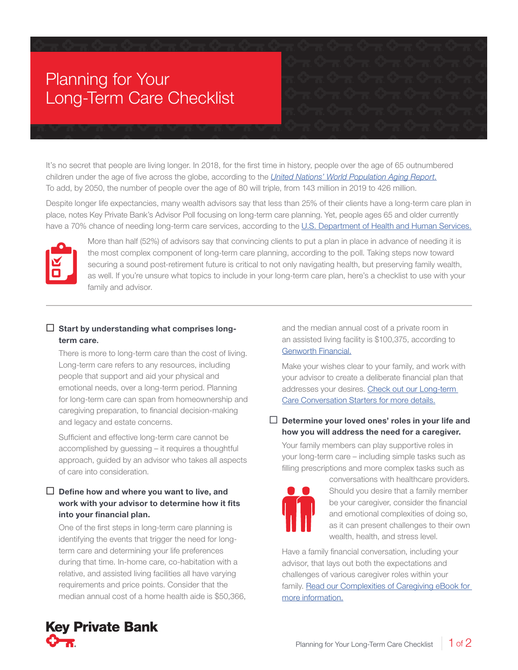# Planning for Your Long-Term Care Checklist

It's no secret that people are living longer. In 2018, for the first time in history, people over the age of 65 outnumbered children under the age of five across the globe, according to the *[United Nations' World Population Aging Report](https://www.un.org/en/sections/issues-depth/ageing/)*. To add, by 2050, the number of people over the age of 80 will triple, from 143 million in 2019 to 426 million.

Despite longer life expectancies, many wealth advisors say that less than 25% of their clients have a long-term care plan in place, notes Key Private Bank's Advisor Poll focusing on long-term care planning. Yet, people ages 65 and older currently have a 70% chance of needing long-term care services, according to the U.S. Department of Health and Human Services.



More than half (52%) of advisors say that convincing clients to put a plan in place in advance of needing it is the most complex component of long-term care planning, according to the poll. Taking steps now toward securing a sound post-retirement future is critical to not only navigating health, but preserving family wealth, as well. If you're unsure what topics to include in your long-term care plan, here's a checklist to use with your family and advisor.

## $\Box$  Start by understanding what comprises longterm care.

There is more to long-term care than the cost of living. Long-term care refers to any resources, including people that support and aid your physical and emotional needs, over a long-term period. Planning for long-term care can span from homeownership and caregiving preparation, to financial decision-making and legacy and estate concerns.

Sufficient and effective long-term care cannot be accomplished by guessing – it requires a thoughtful approach, guided by an advisor who takes all aspects of care into consideration.

## $\Box$  Define how and where you want to live, and work with your advisor to determine how it fits into your financial plan.

One of the first steps in long-term care planning is identifying the events that trigger the need for longterm care and determining your life preferences during that time. In-home care, co-habitation with a relative, and assisted living facilities all have varying requirements and price points. Consider that the median annual cost of a home health aide is \$50,366, and the median annual cost of a private room in an assisted living facility is \$100,375, according to [Genworth Financial.](https://www.genworth.com/aging-and-you/finances/cost-of-care.html)

Make your wishes clear to your family, and work with your advisor to create a deliberate financial plan that addresses your desires. [Check out our Long-term](https://www.key.com/kco/images/How_to_Discuss_Long_Term_Care_Diminished_Capacity.pdf)  [Care Conversation Starters for more details.](https://www.key.com/kco/images/How_to_Discuss_Long_Term_Care_Diminished_Capacity.pdf)

## $\Box$  Determine your loved ones' roles in your life and how you will address the need for a caregiver.

Your family members can play supportive roles in your long-term care – including simple tasks such as filling prescriptions and more complex tasks such as



conversations with healthcare providers. Should you desire that a family member be your caregiver, consider the financial and emotional complexities of doing so, as it can present challenges to their own wealth, health, and stress level.

Have a family financial conversation, including your advisor, that lays out both the expectations and challenges of various caregiver roles within your family. Read our Complexities of Caregiving eBook for [more information.](https://www.key.com/kco/images/Complexities_of_Caregiving_eBook_0118.pdf)